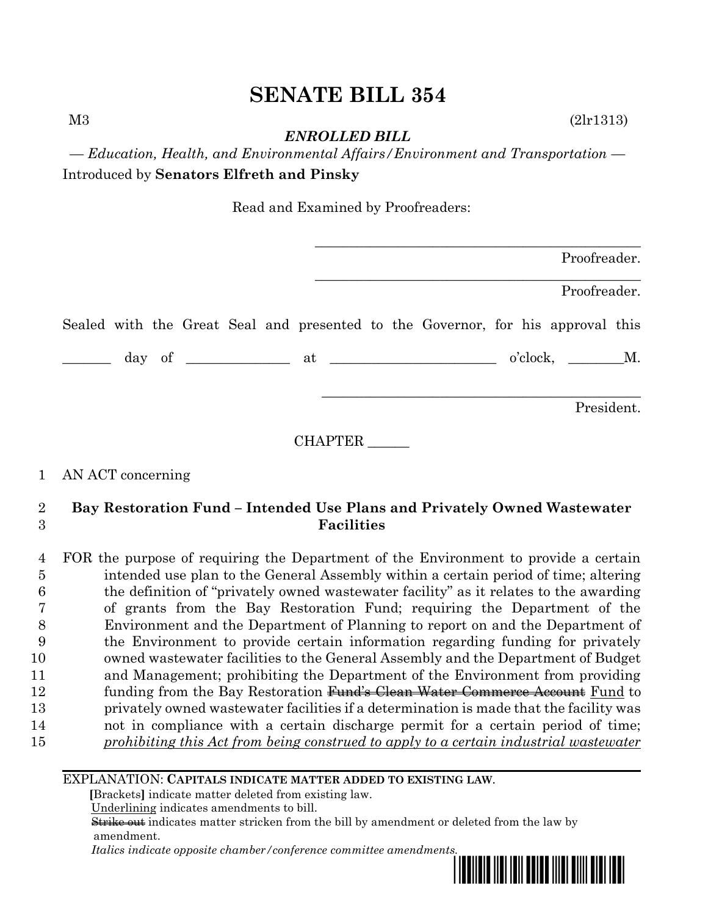M3 (2lr1313)

*ENROLLED BILL*

*— Education, Health, and Environmental Affairs/Environment and Transportation —* Introduced by **Senators Elfreth and Pinsky**

Read and Examined by Proofreaders:

|  |  |  |  |                                                                                 |  | Proofreader. |  |
|--|--|--|--|---------------------------------------------------------------------------------|--|--------------|--|
|  |  |  |  |                                                                                 |  | Proofreader. |  |
|  |  |  |  | Sealed with the Great Seal and presented to the Governor, for his approval this |  |              |  |
|  |  |  |  |                                                                                 |  |              |  |
|  |  |  |  |                                                                                 |  | President.   |  |

CHAPTER \_\_\_\_\_\_

# 1 AN ACT concerning

# 2 **Bay Restoration Fund – Intended Use Plans and Privately Owned Wastewater**  3 **Facilities**

 FOR the purpose of requiring the Department of the Environment to provide a certain intended use plan to the General Assembly within a certain period of time; altering the definition of "privately owned wastewater facility" as it relates to the awarding of grants from the Bay Restoration Fund; requiring the Department of the Environment and the Department of Planning to report on and the Department of the Environment to provide certain information regarding funding for privately owned wastewater facilities to the General Assembly and the Department of Budget and Management; prohibiting the Department of the Environment from providing 12 funding from the Bay Restoration Fund's Clean Water Commerce Account Fund to privately owned wastewater facilities if a determination is made that the facility was not in compliance with a certain discharge permit for a certain period of time; *prohibiting this Act from being construed to apply to a certain industrial wastewater*

### EXPLANATION: **CAPITALS INDICATE MATTER ADDED TO EXISTING LAW**.

 **[**Brackets**]** indicate matter deleted from existing law.

Underlining indicates amendments to bill.

 Strike out indicates matter stricken from the bill by amendment or deleted from the law by amendment.

 *Italics indicate opposite chamber/conference committee amendments.*

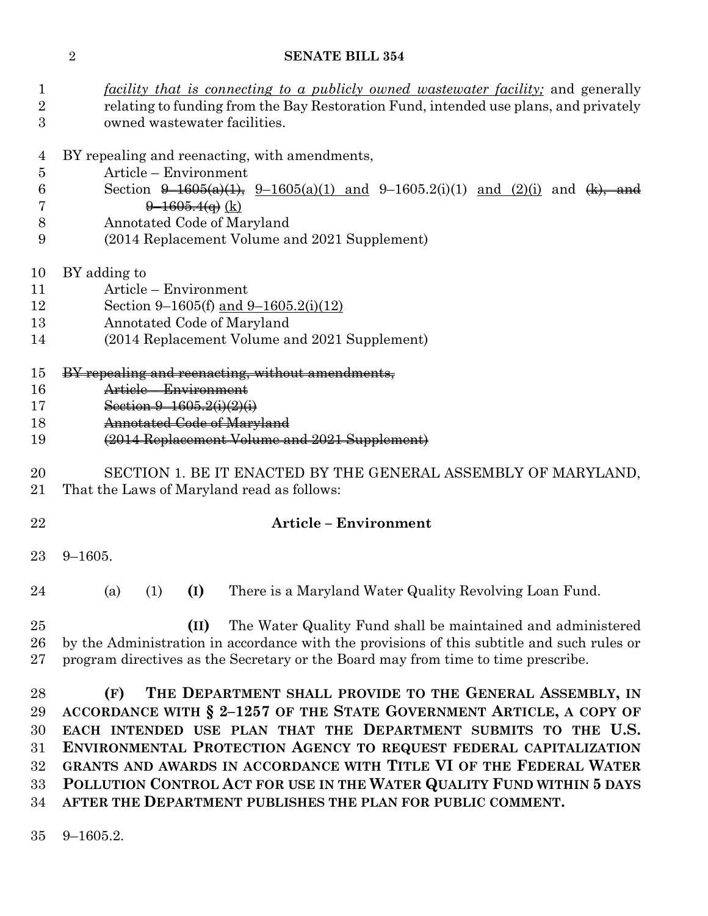| $\mathbf 1$<br>$\overline{2}$<br>3         | <i>facility that is connecting to a publicly owned wastewater facility</i> ; and generally<br>relating to funding from the Bay Restoration Fund, intended use plans, and privately<br>owned wastewater facilities.                                                                                                                                                                                                                                                                          |  |  |  |  |  |  |
|--------------------------------------------|---------------------------------------------------------------------------------------------------------------------------------------------------------------------------------------------------------------------------------------------------------------------------------------------------------------------------------------------------------------------------------------------------------------------------------------------------------------------------------------------|--|--|--|--|--|--|
| 4<br>$\overline{5}$<br>6<br>7<br>8         | BY repealing and reenacting, with amendments,<br>Article – Environment<br>Section $\theta$ -1605(a)(1), $9$ -1605(a)(1) and 9-1605.2(i)(1) and (2)(i) and (k), and<br>$\frac{9-1605.4(q)}{k}$<br>Annotated Code of Maryland                                                                                                                                                                                                                                                                 |  |  |  |  |  |  |
| 9                                          | (2014 Replacement Volume and 2021 Supplement)                                                                                                                                                                                                                                                                                                                                                                                                                                               |  |  |  |  |  |  |
| 10<br>11<br>12<br>13<br>14                 | BY adding to<br>Article - Environment<br>Section 9-1605(f) and 9-1605.2(i)(12)<br>Annotated Code of Maryland<br>(2014 Replacement Volume and 2021 Supplement)                                                                                                                                                                                                                                                                                                                               |  |  |  |  |  |  |
| 15<br>16<br>17<br>18<br>19                 | BY repealing and reenacting, without amendments,<br>Article - Environment<br>Section $9-1605.2(i)(2)(i)$<br>Annotated Code of Maryland<br>(2014 Replacement Volume and 2021 Supplement)                                                                                                                                                                                                                                                                                                     |  |  |  |  |  |  |
| 20<br>21                                   | SECTION 1. BE IT ENACTED BY THE GENERAL ASSEMBLY OF MARYLAND,<br>That the Laws of Maryland read as follows:                                                                                                                                                                                                                                                                                                                                                                                 |  |  |  |  |  |  |
| 22                                         | <b>Article - Environment</b>                                                                                                                                                                                                                                                                                                                                                                                                                                                                |  |  |  |  |  |  |
| 23                                         | $9 - 1605.$                                                                                                                                                                                                                                                                                                                                                                                                                                                                                 |  |  |  |  |  |  |
| 24                                         | (I)<br>There is a Maryland Water Quality Revolving Loan Fund<br>(a)<br>(1)                                                                                                                                                                                                                                                                                                                                                                                                                  |  |  |  |  |  |  |
| 25<br>26<br>$27\,$                         | The Water Quality Fund shall be maintained and administered<br>(II)<br>by the Administration in accordance with the provisions of this subtitle and such rules or<br>program directives as the Secretary or the Board may from time to time prescribe.                                                                                                                                                                                                                                      |  |  |  |  |  |  |
| 28<br>29<br>30<br>31<br>$32\,$<br>33<br>34 | THE DEPARTMENT SHALL PROVIDE TO THE GENERAL ASSEMBLY, IN<br>(F)<br>ACCORDANCE WITH § 2-1257 OF THE STATE GOVERNMENT ARTICLE, A COPY OF<br>EACH INTENDED USE PLAN THAT THE DEPARTMENT SUBMITS TO THE U.S.<br>ENVIRONMENTAL PROTECTION AGENCY TO REQUEST FEDERAL CAPITALIZATION<br>GRANTS AND AWARDS IN ACCORDANCE WITH TITLE VI OF THE FEDERAL WATER<br>POLLUTION CONTROL ACT FOR USE IN THE WATER QUALITY FUND WITHIN 5 DAYS<br>AFTER THE DEPARTMENT PUBLISHES THE PLAN FOR PUBLIC COMMENT. |  |  |  |  |  |  |

9–1605.2.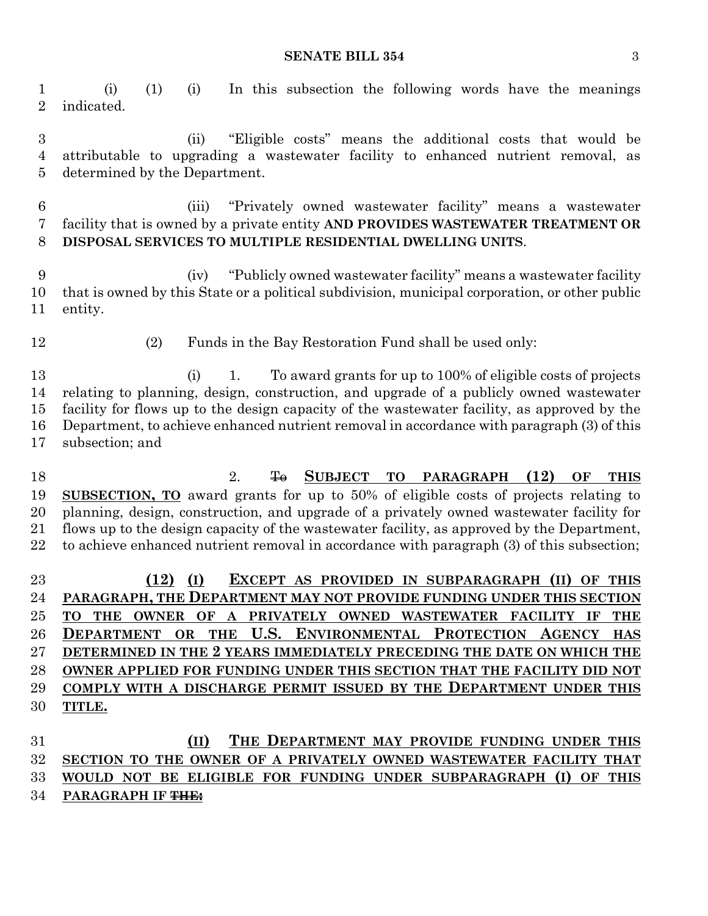#### **SENATE BILL 354** 3

 (i) (1) (i) In this subsection the following words have the meanings indicated.

 (ii) "Eligible costs" means the additional costs that would be attributable to upgrading a wastewater facility to enhanced nutrient removal, as determined by the Department.

 (iii) "Privately owned wastewater facility" means a wastewater facility that is owned by a private entity **AND PROVIDES WASTEWATER TREATMENT OR DISPOSAL SERVICES TO MULTIPLE RESIDENTIAL DWELLING UNITS**.

 (iv) "Publicly owned wastewater facility" means a wastewater facility that is owned by this State or a political subdivision, municipal corporation, or other public entity.

(2) Funds in the Bay Restoration Fund shall be used only:

 (i) 1. To award grants for up to 100% of eligible costs of projects relating to planning, design, construction, and upgrade of a publicly owned wastewater facility for flows up to the design capacity of the wastewater facility, as approved by the Department, to achieve enhanced nutrient removal in accordance with paragraph (3) of this subsection; and

18 2. <del>To</del> SUBJECT TO PARAGRAPH (12) OF THIS **SUBSECTION, TO** award grants for up to 50% of eligible costs of projects relating to planning, design, construction, and upgrade of a privately owned wastewater facility for flows up to the design capacity of the wastewater facility, as approved by the Department, to achieve enhanced nutrient removal in accordance with paragraph (3) of this subsection;

 **(12) (I) EXCEPT AS PROVIDED IN SUBPARAGRAPH (II) OF THIS PARAGRAPH, THE DEPARTMENT MAY NOT PROVIDE FUNDING UNDER THIS SECTION TO THE OWNER OF A PRIVATELY OWNED WASTEWATER FACILITY IF THE DEPARTMENT OR THE U.S. ENVIRONMENTAL PROTECTION AGENCY HAS DETERMINED IN THE 2 YEARS IMMEDIATELY PRECEDING THE DATE ON WHICH THE OWNER APPLIED FOR FUNDING UNDER THIS SECTION THAT THE FACILITY DID NOT COMPLY WITH A DISCHARGE PERMIT ISSUED BY THE DEPARTMENT UNDER THIS TITLE.**

 **(II) THE DEPARTMENT MAY PROVIDE FUNDING UNDER THIS SECTION TO THE OWNER OF A PRIVATELY OWNED WASTEWATER FACILITY THAT WOULD NOT BE ELIGIBLE FOR FUNDING UNDER SUBPARAGRAPH (I) OF THIS PARAGRAPH IF THE:**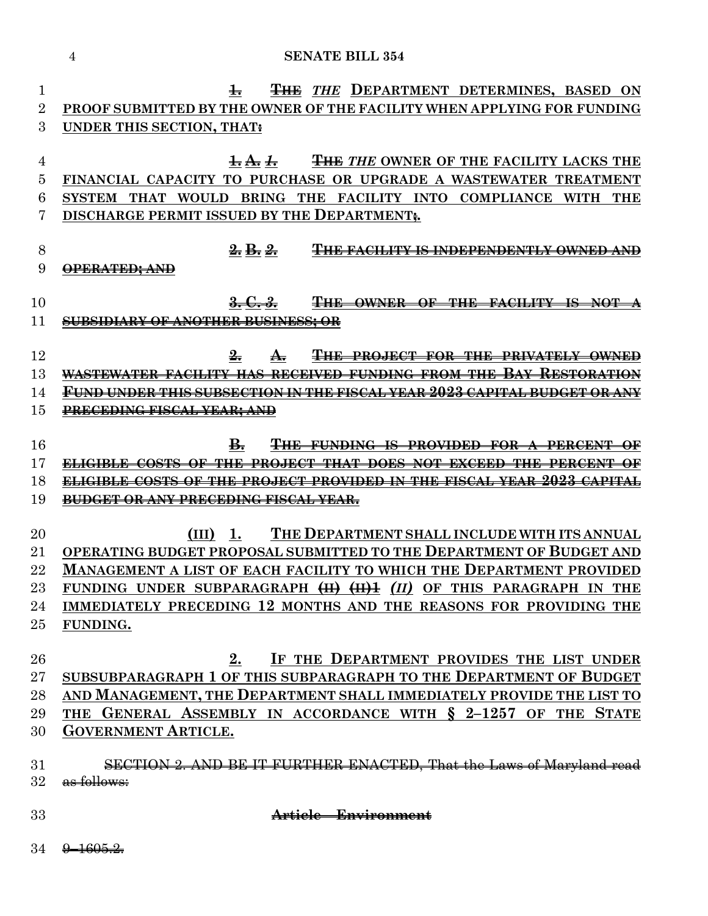| 1               | <b>THE THE DEPARTMENT DETERMINES, BASED</b><br>$\pm$<br>ON                                                                                           |
|-----------------|------------------------------------------------------------------------------------------------------------------------------------------------------|
| $\overline{2}$  | PROOF SUBMITTED BY THE OWNER OF THE FACILITY WHEN APPLYING FOR FUNDING                                                                               |
| 3               | UNDER THIS SECTION, THAT:                                                                                                                            |
|                 |                                                                                                                                                      |
| 4               | <b>THE THE OWNER OF THE FACILITY LACKS THE</b><br>$\frac{1}{2}$ <del>and the duty</del>                                                              |
| 5               | FINANCIAL CAPACITY TO PURCHASE OR UPGRADE A WASTEWATER TREATMENT                                                                                     |
| 6               | <b>BRING</b><br><b>THE</b><br><b>FACILITY INTO</b><br><b>THAT</b><br><b>WOULD</b><br><b>COMPLIANCE</b><br><b>WITH</b><br><b>SYSTEM</b><br><b>THE</b> |
| 7               | DISCHARGE PERMIT ISSUED BY THE DEPARTMENT.                                                                                                           |
| 8               | <del>2.</del> B. 2.<br><b>FACILITY IS INDEPENDENTLY OWNED AND</b>                                                                                    |
| 9               | <del>OPERATED; AND</del>                                                                                                                             |
|                 |                                                                                                                                                      |
| 10              | <del>3. C. 3.</del><br>₩Æ<br>OWNER OF THE<br><del>FACILITY IS</del>                                                                                  |
| 11              | <del>IBSIDIARY OF ANOTHER BUSINESS: OR</del>                                                                                                         |
|                 |                                                                                                                                                      |
| 12              | THE PROJECT FOR THE PRIVATELY OWNED                                                                                                                  |
| 13              | STEWATER FACILITY HAS<br>RECEIVED FUNDING FROM THE                                                                                                   |
| 14              | <u>UND UNDER THIS SUBSECTION IN THE FISCAL YEAR 2023 CAPITAL BUDGET OR ANY</u>                                                                       |
| 15              | <del>PRECEDING FISCAL YEAR; AND</del>                                                                                                                |
|                 |                                                                                                                                                      |
| 16              | В.<br><del>-PROVIDED -FOR-</del><br><del>FUNDING IS</del><br><del>- PERCIENT</del><br>$\overline{\phantom{a}}$<br>Θ₩                                 |
| 17              | DOES NOT EXCEED THE PERCENT<br><del>ELIGIBLE COSTS OF</del><br><del>THE</del><br><del>PROJECT</del><br><del>THAT</del>                               |
| 18              | OF THE PROJECT PROVIDED IN THE FISCAL YEAR 2023                                                                                                      |
| 19              | <del>OR ANY PRECEDING FISCAL YEAR.</del>                                                                                                             |
|                 |                                                                                                                                                      |
| $\overline{20}$ | THE DEPARTMENT SHALL INCLUDE WITH ITS ANNUAL<br>(III)<br>-1.                                                                                         |
| $21\,$<br>22    | OPERATING BUDGET PROPOSAL SUBMITTED TO THE DEPARTMENT OF BUDGET AND<br>Management a list of each facility to which the Department provided           |
| $23\,$          | FUNDING UNDER SUBPARAGRAPH (II) (II) OF THIS PARAGRAPH IN THE                                                                                        |
| 24              | IMMEDIATELY PRECEDING 12 MONTHS AND THE REASONS FOR PROVIDING THE                                                                                    |
| $25\,$          | FUNDING.                                                                                                                                             |
|                 |                                                                                                                                                      |
| 26              | IF THE DEPARTMENT PROVIDES THE LIST UNDER<br>2.                                                                                                      |
| $27\,$          | SUBSUBPARAGRAPH 1 OF THIS SUBPARAGRAPH TO THE DEPARTMENT OF BUDGET                                                                                   |
| 28              | AND MANAGEMENT, THE DEPARTMENT SHALL IMMEDIATELY PROVIDE THE LIST TO                                                                                 |
| 29              | THE GENERAL ASSEMBLY IN ACCORDANCE WITH § 2-1257 OF THE STATE                                                                                        |
| 30              | <b>GOVERNMENT ARTICLE.</b>                                                                                                                           |
|                 |                                                                                                                                                      |
| 31              | SECTION 2. AND BE IT FURTHER ENACTED, That the Laws of Maryland read                                                                                 |
| $32\,$          | as follows:                                                                                                                                          |
|                 |                                                                                                                                                      |
| 33              | Article - Environment                                                                                                                                |
|                 |                                                                                                                                                      |

9–1605.2.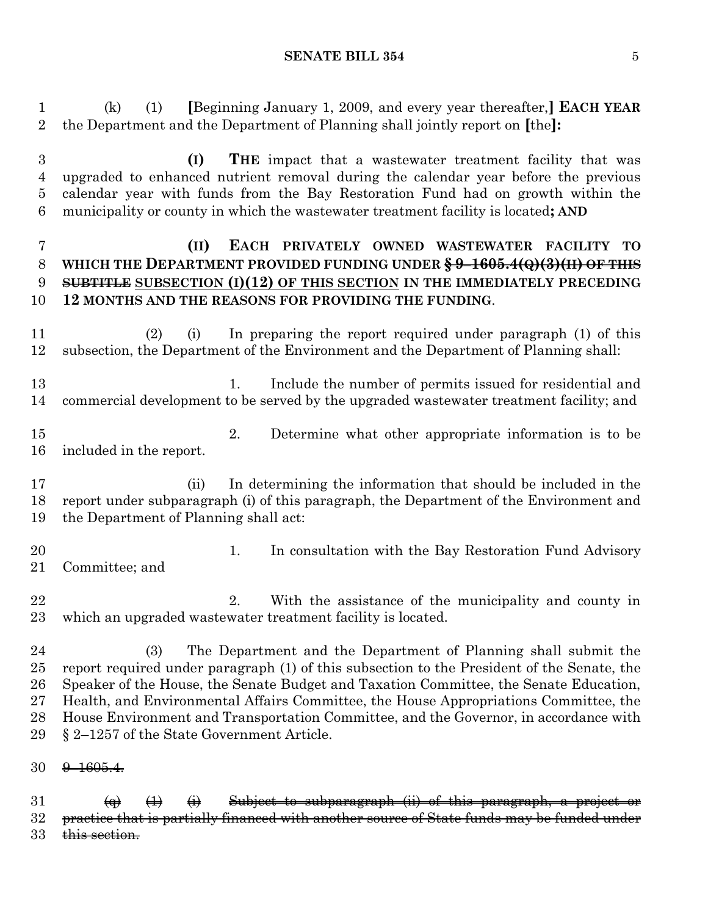#### **SENATE BILL 354** 5

 (k) (1) **[**Beginning January 1, 2009, and every year thereafter,**] EACH YEAR** the Department and the Department of Planning shall jointly report on **[**the**]:**

 **(I) THE** impact that a wastewater treatment facility that was upgraded to enhanced nutrient removal during the calendar year before the previous calendar year with funds from the Bay Restoration Fund had on growth within the municipality or county in which the wastewater treatment facility is located**; AND**

# **(II) EACH PRIVATELY OWNED WASTEWATER FACILITY TO WHICH THE DEPARTMENT PROVIDED FUNDING UNDER § 9–1605.4(Q)(3)(II) OF THIS SUBTITLE SUBSECTION (I)(12) OF THIS SECTION IN THE IMMEDIATELY PRECEDING 12 MONTHS AND THE REASONS FOR PROVIDING THE FUNDING**.

 (2) (i) In preparing the report required under paragraph (1) of this subsection, the Department of the Environment and the Department of Planning shall:

13 1. Include the number of permits issued for residential and commercial development to be served by the upgraded wastewater treatment facility; and

- 2. Determine what other appropriate information is to be included in the report.
- (ii) In determining the information that should be included in the report under subparagraph (i) of this paragraph, the Department of the Environment and the Department of Planning shall act:
- 20 1. In consultation with the Bay Restoration Fund Advisory Committee; and
- 22 2. With the assistance of the municipality and county in which an upgraded wastewater treatment facility is located.

 (3) The Department and the Department of Planning shall submit the report required under paragraph (1) of this subsection to the President of the Senate, the Speaker of the House, the Senate Budget and Taxation Committee, the Senate Education, Health, and Environmental Affairs Committee, the House Appropriations Committee, the House Environment and Transportation Committee, and the Governor, in accordance with § 2–1257 of the State Government Article.

30 <del>9 1605.4.</del>

31  $\left(\theta\right)$   $\left(\theta\right)$   $\left(\theta\right)$   $\left(\theta\right)$  Subject to subparagraph  $\left(\theta\right)$  of this paragraph, a project practice that is partially financed with another source of State funds may be funded under 33 this section.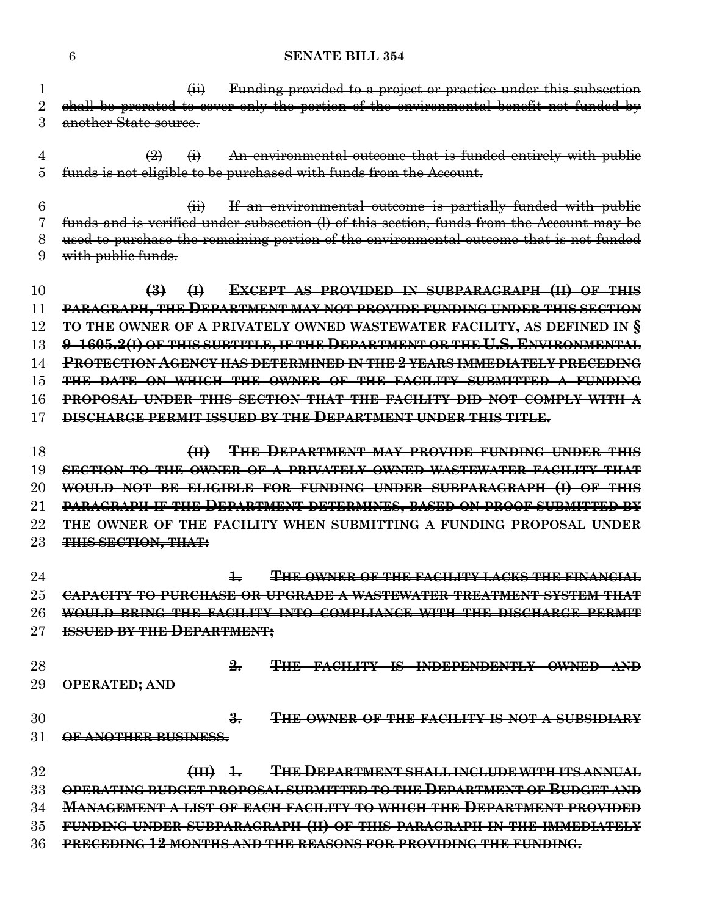(ii) Funding provided to a project or practice under this subsection 2 shall be prorated to cover only the portion of the environmental benefit not funded by another State source.

 $\overline{4}$  (2)  $\overline{4}$  An environmental outcome that is funded entirely with public funds is not eligible to be purchased with funds from the Account.

 (ii) If an environmental outcome is partially funded with public funds and is verified under subsection (l) of this section, funds from the Account may be used to purchase the remaining portion of the environmental outcome that is not funded with public funds.

 **(3) (I) EXCEPT AS PROVIDED IN SUBPARAGRAPH (II) OF THIS PARAGRAPH, THE DEPARTMENT MAY NOT PROVIDE FUNDING UNDER THIS SECTION TO THE OWNER OF A PRIVATELY OWNED WASTEWATER FACILITY, AS DEFINED IN § 9–1605.2(I) OF THIS SUBTITLE, IF THE DEPARTMENT OR THE U.S. ENVIRONMENTAL PROTECTION AGENCY HAS DETERMINED IN THE 2 YEARS IMMEDIATELY PRECEDING THE DATE ON WHICH THE OWNER OF THE FACILITY SUBMITTED A FUNDING PROPOSAL UNDER THIS SECTION THAT THE FACILITY DID NOT COMPLY WITH A DISCHARGE PERMIT ISSUED BY THE DEPARTMENT UNDER THIS TITLE.**

 **(II) THE DEPARTMENT MAY PROVIDE FUNDING UNDER THIS SECTION TO THE OWNER OF A PRIVATELY OWNED WASTEWATER FACILITY THAT WOULD NOT BE ELIGIBLE FOR FUNDING UNDER SUBPARAGRAPH (I) OF THIS PARAGRAPH IF THE DEPARTMENT DETERMINES, BASED ON PROOF SUBMITTED BY THE OWNER OF THE FACILITY WHEN SUBMITTING A FUNDING PROPOSAL UNDER THIS SECTION, THAT:**

 **1. THE OWNER OF THE FACILITY LACKS THE FINANCIAL CAPACITY TO PURCHASE OR UPGRADE A WASTEWATER TREATMENT SYSTEM THAT WOULD BRING THE FACILITY INTO COMPLIANCE WITH THE DISCHARGE PERMIT ISSUED BY THE DEPARTMENT;**

 **2. THE FACILITY IS INDEPENDENTLY OWNED AND OPERATED; AND**

 **3. THE OWNER OF THE FACILITY IS NOT A SUBSIDIARY OF ANOTHER BUSINESS.**

 **(III) 1. THE DEPARTMENT SHALL INCLUDE WITH ITS ANNUAL OPERATING BUDGET PROPOSAL SUBMITTED TO THE DEPARTMENT OF BUDGET AND MANAGEMENT A LIST OF EACH FACILITY TO WHICH THE DEPARTMENT PROVIDED FUNDING UNDER SUBPARAGRAPH (II) OF THIS PARAGRAPH IN THE IMMEDIATELY PRECEDING 12 MONTHS AND THE REASONS FOR PROVIDING THE FUNDING.**